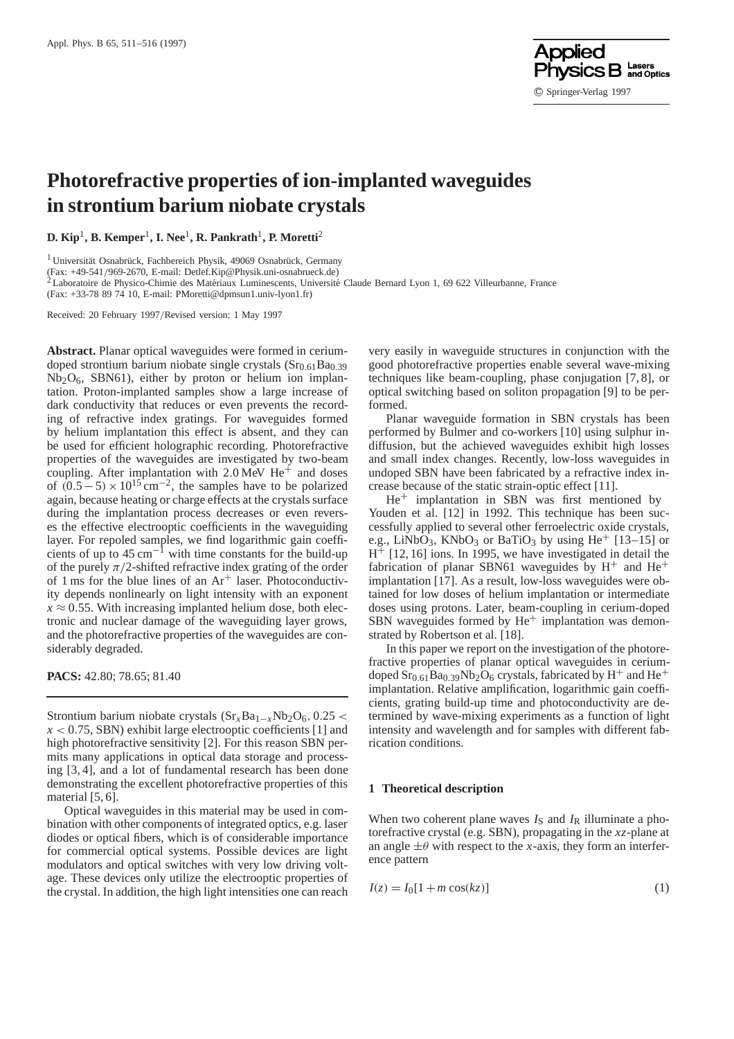

# **Photorefractive properties of ion-implanted waveguides in strontium barium niobate crystals**

**D. Kip**1**, B. Kemper**1**, I. Nee**1**, R. Pankrath**1**, P. Moretti**<sup>2</sup>

<sup>1</sup> Universität Osnabrück, Fachbereich Physik, 49069 Osnabrück, Germany

(Fax: +49-541/969-2670, E-mail: Detlef.Kip@Physik.uni-osnabrueck.de)<br><sup>2</sup> Laboratoire de Physico-Chimie des Matériaux Luminescents, Université Claude Bernard Lyon 1, 69 622 Villeurbanne, France

(Fax: +33-78 89 74 10, E-mail: PMoretti@dpmsun1.univ-lyon1.fr)

Received: 20 February 1997/Revised version: 1 May 1997

**Abstract.** Planar optical waveguides were formed in ceriumdoped strontium barium niobate single crystals  $(Sr<sub>0.61</sub>Ba<sub>0.39</sub>)$  $Nb<sub>2</sub>O<sub>6</sub>$ , SBN61), either by proton or helium ion implantation. Proton-implanted samples show a large increase of dark conductivity that reduces or even prevents the recording of refractive index gratings. For waveguides formed by helium implantation this effect is absent, and they can be used for efficient holographic recording. Photorefractive properties of the waveguides are investigated by two-beam coupling. After implantation with  $2.0$  MeV He<sup>+</sup> and doses of  $(0.5-5) \times 10^{15}$  cm<sup>-2</sup>, the samples have to be polarized again, because heating or charge effects at the crystals surface during the implantation process decreases or even reverses the effective electrooptic coefficients in the waveguiding layer. For repoled samples, we find logarithmic gain coefficients of up to  $45 \text{ cm}^{-1}$  with time constants for the build-up of the purely  $\pi/2$ -shifted refractive index grating of the order of 1 ms for the blue lines of an  $Ar^+$  laser. Photoconductivity depends nonlinearly on light intensity with an exponent  $x \approx 0.55$ . With increasing implanted helium dose, both electronic and nuclear damage of the waveguiding layer grows, and the photorefractive properties of the waveguides are considerably degraded.

**PACS:** 42.80; 78.65; 81.40

Strontium barium niobate crystals  $(Sr_xBa_{1-x}Nb_2O_6, 0.25 <$  $x < 0.75$ , SBN) exhibit large electrooptic coefficients [1] and high photorefractive sensitivity [2]. For this reason SBN permits many applications in optical data storage and processing [3, 4], and a lot of fundamental research has been done demonstrating the excellent photorefractive properties of this material [5, 6].

Optical waveguides in this material may be used in combination with other components of integrated optics, e.g. laser diodes or optical fibers, which is of considerable importance for commercial optical systems. Possible devices are light modulators and optical switches with very low driving voltage. These devices only utilize the electrooptic properties of the crystal. In addition, the high light intensities one can reach

very easily in waveguide structures in conjunction with the good photorefractive properties enable several wave-mixing techniques like beam-coupling, phase conjugation [7, 8], or optical switching based on soliton propagation [9] to be performed.

Planar waveguide formation in SBN crystals has been performed by Bulmer and co-workers [10] using sulphur indiffusion, but the achieved waveguides exhibit high losses and small index changes. Recently, low-loss waveguides in undoped SBN have been fabricated by a refractive index increase because of the static strain-optic effect [11].

He+ implantation in SBN was first mentioned by Youden et al. [12] in 1992. This technique has been successfully applied to several other ferroelectric oxide crystals, e.g., LiNbO<sub>3</sub>, KNbO<sub>3</sub> or BaTiO<sub>3</sub> by using He<sup>+</sup> [13–15] or  $H^+$  [12, 16] ions. In 1995, we have investigated in detail the fabrication of planar SBN61 waveguides by  $H^+$  and  $He^+$ implantation [17]. As a result, low-loss waveguides were obtained for low doses of helium implantation or intermediate doses using protons. Later, beam-coupling in cerium-doped SBN waveguides formed by  $He<sup>+</sup>$  implantation was demonstrated by Robertson et al. [18].

In this paper we report on the investigation of the photorefractive properties of planar optical waveguides in ceriumdoped  $Sr<sub>0.61</sub>Ba<sub>0.39</sub>Nb<sub>2</sub>O<sub>6</sub>$  crystals, fabricated by H<sup>+</sup> and He<sup>+</sup> implantation. Relative amplification, logarithmic gain coefficients, grating build-up time and photoconductivity are determined by wave-mixing experiments as a function of light intensity and wavelength and for samples with different fabrication conditions.

# **1 Theoretical description**

When two coherent plane waves  $I<sub>S</sub>$  and  $I<sub>R</sub>$  illuminate a photorefractive crystal (e.g. SBN), propagating in the *xz*-plane at an angle  $\pm\theta$  with respect to the *x*-axis, they form an interference pattern

$$
I(z) = I_0[1 + m \cos(kz)]
$$
 (1)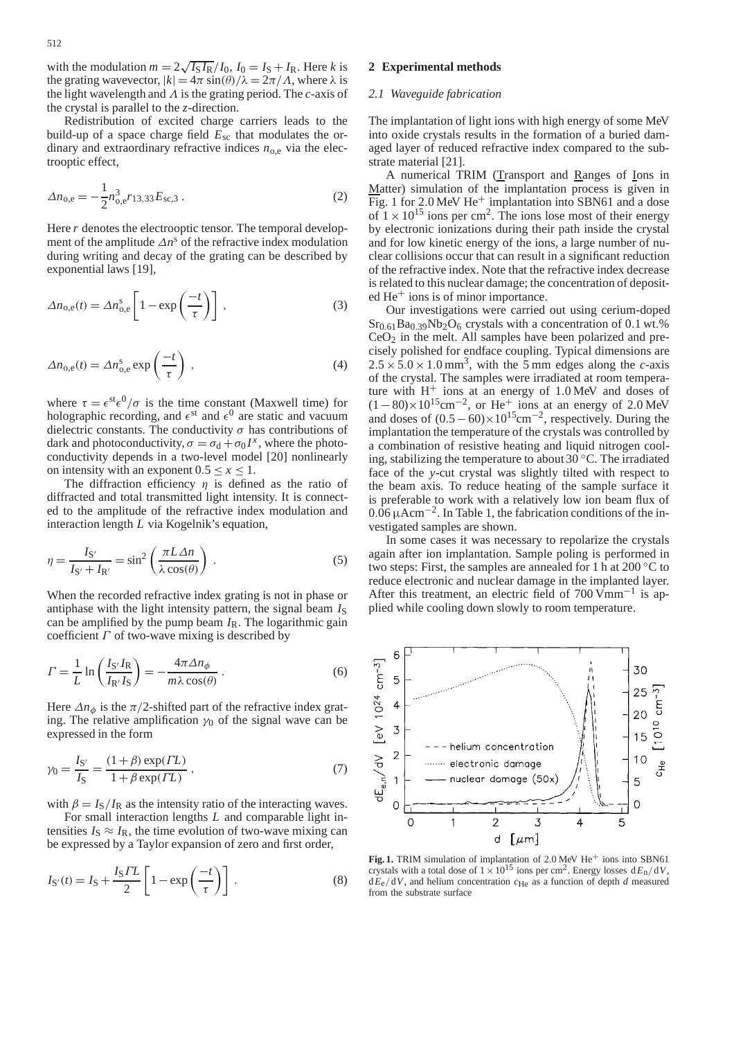with the modulation  $m = 2\sqrt{I_S I_R}/I_0$ ,  $I_0 = I_S + I_R$ . Here *k* is the grating wavevector,  $|k| = 4\pi \sin(\theta)/\lambda = 2\pi/\Lambda$ , where  $\lambda$  is the light wavelength and Λ is the grating period. The *c*-axis of the crystal is parallel to the *z*-direction.

Redistribution of excited charge carriers leads to the build-up of a space charge field *E*sc that modulates the ordinary and extraordinary refractive indices  $n_{o,e}$  via the electrooptic effect,

$$
\Delta n_{\text{o,e}} = -\frac{1}{2} n_{\text{o,e}}^3 r_{13,33} E_{\text{sc},3} \,. \tag{2}
$$

Here *r* denotes the electrooptic tensor. The temporal development of the amplitude  $\Delta n^s$  of the refractive index modulation during writing and decay of the grating can be described by exponential laws [19],

$$
\Delta n_{\text{o,e}}(t) = \Delta n_{\text{o,e}}^{\text{s}} \left[ 1 - \exp\left(\frac{-t}{\tau}\right) \right],\tag{3}
$$

$$
\Delta n_{\text{o,e}}(t) = \Delta n_{\text{o,e}}^{\text{s}} \exp\left(\frac{-t}{\tau}\right) \,, \tag{4}
$$

where  $\tau = \epsilon^{st} \epsilon^0 / \sigma$  is the time constant (Maxwell time) for holographic recording, and  $\epsilon^{st}$  and  $\epsilon^{0}$  are static and vacuum dielectric constants. The conductivity  $\sigma$  has contributions of dark and photoconductivity,  $\sigma = \sigma_d + \sigma_0 I^x$ , where the photoconductivity depends in a two-level model [20] nonlinearly on intensity with an exponent  $0.5 \le x \le 1$ .

The diffraction efficiency  $\eta$  is defined as the ratio of diffracted and total transmitted light intensity. It is connected to the amplitude of the refractive index modulation and interaction length *L* via Kogelnik's equation,

$$
\eta = \frac{I_{S'}}{I_{S'} + I_{R'}} = \sin^2\left(\frac{\pi L \Delta n}{\lambda \cos(\theta)}\right) . \tag{5}
$$

When the recorded refractive index grating is not in phase or antiphase with the light intensity pattern, the signal beam  $I<sub>S</sub>$ can be amplified by the pump beam  $I_R$ . The logarithmic gain coefficient  $\Gamma$  of two-wave mixing is described by

$$
\Gamma = \frac{1}{L} \ln \left( \frac{I_{S'} I_R}{I_{R'} I_S} \right) = -\frac{4\pi \Delta n_\phi}{m \lambda \cos(\theta)} . \tag{6}
$$

Here  $\Delta n_{\phi}$  is the  $\pi/2$ -shifted part of the refractive index grating. The relative amplification  $\gamma_0$  of the signal wave can be expressed in the form

$$
\gamma_0 = \frac{I_{S'}}{I_S} = \frac{(1+\beta) \exp(TL)}{1 + \beta \exp(TL)},
$$
\n(7)

with  $\beta = I_S/I_R$  as the intensity ratio of the interacting waves.

For small interaction lengths *L* and comparable light intensities  $I_s \approx I_R$ , the time evolution of two-wave mixing can be expressed by a Taylor expansion of zero and first order,

$$
I_{S'}(t) = I_S + \frac{I_S \Gamma L}{2} \left[ 1 - \exp\left(\frac{-t}{\tau}\right) \right].
$$
 (8)

## **2 Experimental methods**

## *2.1 Waveguide fabrication*

The implantation of light ions with high energy of some MeV into oxide crystals results in the formation of a buried damaged layer of reduced refractive index compared to the substrate material [21].

A numerical TRIM (Transport and Ranges of Ions in Matter) simulation of the implantation process is given in Fig. 1 for 2.0 MeV He<sup>+</sup> implantation into SBN61 and a dose of  $1 \times 10^{15}$  ions per cm<sup>2</sup>. The ions lose most of their energy by electronic ionizations during their path inside the crystal and for low kinetic energy of the ions, a large number of nuclear collisions occur that can result in a significant reduction of the refractive index. Note that the refractive index decrease is related to this nuclear damage; the concentration of deposited He+ ions is of minor importance.

Our investigations were carried out using cerium-doped  $Sr<sub>0.61</sub>Ba<sub>0.39</sub>Nb<sub>2</sub>O<sub>6</sub>$  crystals with a concentration of 0.1 wt.%  $CeO<sub>2</sub>$  in the melt. All samples have been polarized and precisely polished for endface coupling. Typical dimensions are  $2.5 \times 5.0 \times 1.0$  mm<sup>3</sup>, with the 5 mm edges along the *c*-axis of the crystal. The samples were irradiated at room temperature with  $H^+$  ions at an energy of 1.0 MeV and doses of  $(1-80)\times10^{15}$ cm<sup>-2</sup>, or He<sup>+</sup> ions at an energy of 2.0 MeV and doses of  $(0.5-60)\times10^{15}$ cm<sup>-2</sup>, respectively. During the implantation the temperature of the crystals was controlled by a combination of resistive heating and liquid nitrogen cooling, stabilizing the temperature to about 30 ◦C. The irradiated face of the *y*-cut crystal was slightly tilted with respect to the beam axis. To reduce heating of the sample surface it is preferable to work with a relatively low ion beam flux of  $0.06 \mu \text{Acm}^{-2}$ . In Table 1, the fabrication conditions of the investigated samples are shown.

In some cases it was necessary to repolarize the crystals again after ion implantation. Sample poling is performed in two steps: First, the samples are annealed for 1 h at  $200\,^{\circ}\text{C}$  to reduce electronic and nuclear damage in the implanted layer. After this treatment, an electric field of  $700 \text{ Vmm}^{-1}$  is applied while cooling down slowly to room temperature.

6



**Fig. 1.** TRIM simulation of implantation of 2.0 MeV He<sup>+</sup> ions into SBN61 crystals with a total dose of  $1 \times 10^{15}$  ions per cm<sup>2</sup>. Energy losses  $dE_n/dV$ ,  $dE_e/dV$ , and helium concentration  $c_{\text{He}}$  as a function of depth *d* measured from the substrate surface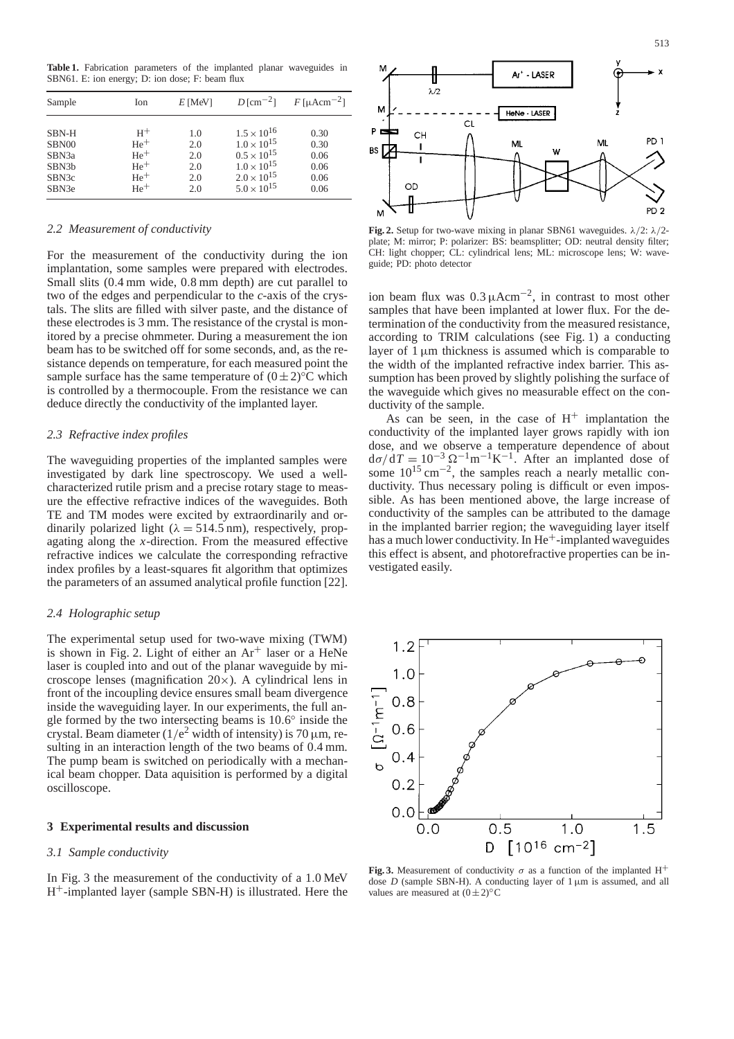**Table 1.** Fabrication parameters of the implanted planar waveguides in SBN61. E: ion energy; D: ion dose; F: beam flux

| Sample             | Ion   | $E$ [MeV] | $D \text{[cm}^{-2}$ ] | $F[\mu \text{Acm}^{-2}]$ |
|--------------------|-------|-----------|-----------------------|--------------------------|
| SBN-H              | $H^+$ | 1.0       | $1.5 \times 10^{16}$  | 0.30                     |
| SBN00              | $He+$ | 2.0       | $1.0 \times 10^{15}$  | 0.30                     |
| SBN <sub>3</sub> a | $He+$ | 2.0       | $0.5 \times 10^{15}$  | 0.06                     |
| SBN <sub>3</sub> b | $He+$ | 2.0       | $1.0 \times 10^{15}$  | 0.06                     |
| SBN <sub>3</sub> c | $He+$ | 2.0       | $2.0 \times 10^{15}$  | 0.06                     |
| SBN <sub>3e</sub>  | $He+$ | 2.0       | $5.0 \times 10^{15}$  | 0.06                     |

## *2.2 Measurement of conductivity*

For the measurement of the conductivity during the ion implantation, some samples were prepared with electrodes. Small slits (0.4 mm wide, 0.8 mm depth) are cut parallel to two of the edges and perpendicular to the *c*-axis of the crystals. The slits are filled with silver paste, and the distance of these electrodes is 3 mm. The resistance of the crystal is monitored by a precise ohmmeter. During a measurement the ion beam has to be switched off for some seconds, and, as the resistance depends on temperature, for each measured point the sample surface has the same temperature of  $(0±2)$ <sup>°</sup>C which is controlled by a thermocouple. From the resistance we can deduce directly the conductivity of the implanted layer.

# *2.3 Refractive index profiles*

The waveguiding properties of the implanted samples were investigated by dark line spectroscopy. We used a wellcharacterized rutile prism and a precise rotary stage to measure the effective refractive indices of the waveguides. Both TE and TM modes were excited by extraordinarily and ordinarily polarized light ( $\lambda = 514.5$  nm), respectively, propagating along the *x*-direction. From the measured effective refractive indices we calculate the corresponding refractive index profiles by a least-squares fit algorithm that optimizes the parameters of an assumed analytical profile function [22].

# *2.4 Holographic setup*

The experimental setup used for two-wave mixing (TWM) is shown in Fig. 2. Light of either an  $Ar^+$  laser or a HeNe laser is coupled into and out of the planar waveguide by microscope lenses (magnification  $20 \times$ ). A cylindrical lens in front of the incoupling device ensures small beam divergence inside the waveguiding layer. In our experiments, the full angle formed by the two intersecting beams is 10.6◦ inside the crystal. Beam diameter ( $1/e^2$  width of intensity) is 70  $\mu$ m, resulting in an interaction length of the two beams of 0.4 mm. The pump beam is switched on periodically with a mechanical beam chopper. Data aquisition is performed by a digital oscilloscope.

#### **3 Experimental results and discussion**

#### *3.1 Sample conductivity*

In Fig. 3 the measurement of the conductivity of a 1.0 MeV H+-implanted layer (sample SBN-H) is illustrated. Here the



**Fig. 2.** Setup for two-wave mixing in planar SBN61 waveguides.  $\lambda/2$ :  $\lambda/2$ plate; M: mirror; P: polarizer: BS: beamsplitter; OD: neutral density filter; CH: light chopper; CL: cylindrical lens; ML: microscope lens; W: waveguide; PD: photo detector

ion beam flux was  $0.3 \mu A \text{cm}^{-2}$ , in contrast to most other samples that have been implanted at lower flux. For the determination of the conductivity from the measured resistance, according to TRIM calculations (see Fig. 1) a conducting layer of  $1 \mu m$  thickness is assumed which is comparable to the width of the implanted refractive index barrier. This assumption has been proved by slightly polishing the surface of the waveguide which gives no measurable effect on the conductivity of the sample.

As can be seen, in the case of  $H^+$  implantation the conductivity of the implanted layer grows rapidly with ion dose, and we observe a temperature dependence of about  $d\sigma/dT = 10^{-3} \Omega^{-1} m^{-1} K^{-1}$ . After an implanted dose of some  $10^{15}$  cm<sup>-2</sup>, the samples reach a nearly metallic conductivity. Thus necessary poling is difficult or even impossible. As has been mentioned above, the large increase of conductivity of the samples can be attributed to the damage in the implanted barrier region; the waveguiding layer itself has a much lower conductivity. In  $He<sup>+</sup>$ -implanted waveguides this effect is absent, and photorefractive properties can be investigated easily.



**Fig. 3.** Measurement of conductivity  $\sigma$  as a function of the implanted H<sup>+</sup> dose  $D$  (sample SBN-H). A conducting layer of  $1 \mu m$  is assumed, and all values are measured at  $(0±2)$ °C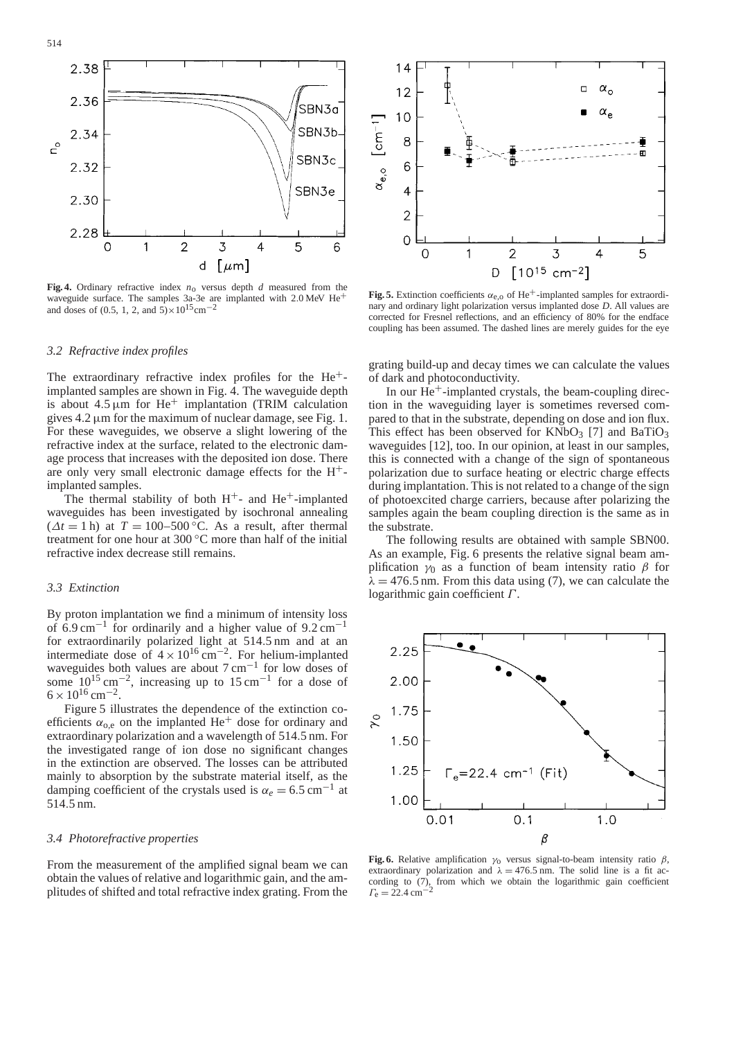

**Fig. 4.** Ordinary refractive index *n*o versus depth *d* measured from the waveguide surface. The samples 3a-3e are implanted with 2.0 MeV He<sup>+</sup> and doses of (0.5, 1, 2, and  $5 \times 10^{15}$  cm<sup>-2</sup>

## *3.2 Refractive index profiles*

The extraordinary refractive index profiles for the He+ implanted samples are shown in Fig. 4. The waveguide depth is about  $4.5 \mu m$  for He<sup>+</sup> implantation (TRIM calculation gives  $4.2 \mu m$  for the maximum of nuclear damage, see Fig. 1. For these waveguides, we observe a slight lowering of the refractive index at the surface, related to the electronic damage process that increases with the deposited ion dose. There are only very small electronic damage effects for the  $H^+$ implanted samples.

The thermal stability of both  $H^+$ - and  $He^+$ -implanted waveguides has been investigated by isochronal annealing  $(\Delta t = 1 h)$  at  $T = 100-500$  °C. As a result, after thermal treatment for one hour at 300 ◦C more than half of the initial refractive index decrease still remains.

# *3.3 Extinction*

By proton implantation we find a minimum of intensity loss of 6.9 cm<sup>-1</sup> for ordinarily and a higher value of  $9.2 \text{ cm}^{-1}$ for extraordinarily polarized light at 514.5 nm and at an intermediate dose of  $4 \times 10^{16}$  cm<sup>-2</sup>. For helium-implanted waveguides both values are about 7 cm−<sup>1</sup> for low doses of some  $10^{15}$  cm<sup>-2</sup>, increasing up to 15 cm<sup>-1</sup> for a dose of  $6 \times 10^{16}$  cm<sup>-2</sup>.

Figure 5 illustrates the dependence of the extinction coefficients  $\alpha_{0,e}$  on the implanted He<sup>+</sup> dose for ordinary and extraordinary polarization and a wavelength of 514.5 nm. For the investigated range of ion dose no significant changes in the extinction are observed. The losses can be attributed mainly to absorption by the substrate material itself, as the damping coefficient of the crystals used is  $\alpha_e = 6.5$  cm<sup>-1</sup> at 514.5 nm.

# *3.4 Photorefractive properties*

From the measurement of the amplified signal beam we can obtain the values of relative and logarithmic gain, and the amplitudes of shifted and total refractive index grating. From the



**Fig. 5.** Extinction coefficients  $\alpha_{e,o}$  of He<sup>+</sup>-implanted samples for extraordinary and ordinary light polarization versus implanted dose *D*. All values are corrected for Fresnel reflections, and an efficiency of 80% for the endface coupling has been assumed. The dashed lines are merely guides for the eye

grating build-up and decay times we can calculate the values of dark and photoconductivity.

In our  $He<sup>+</sup>$ -implanted crystals, the beam-coupling direction in the waveguiding layer is sometimes reversed compared to that in the substrate, depending on dose and ion flux. This effect has been observed for  $KNbO<sub>3</sub>$  [7] and BaTiO<sub>3</sub> waveguides [12], too. In our opinion, at least in our samples, this is connected with a change of the sign of spontaneous polarization due to surface heating or electric charge effects during implantation. This is not related to a change of the sign of photoexcited charge carriers, because after polarizing the samples again the beam coupling direction is the same as in the substrate.

The following results are obtained with sample SBN00. As an example, Fig. 6 presents the relative signal beam amplification  $\gamma_0$  as a function of beam intensity ratio  $\beta$  for  $\lambda = 476.5$  nm. From this data using (7), we can calculate the logarithmic gain coefficient Γ .



**Fig. 6.** Relative amplification  $\gamma_0$  versus signal-to-beam intensity ratio  $\beta$ , extraordinary polarization and  $\lambda = 476.5$  nm. The solid line is a fit according to (7), from which we obtain the logarithmic gain coefficient  $\Gamma_e = 22.4 \text{ cm}^{-1}$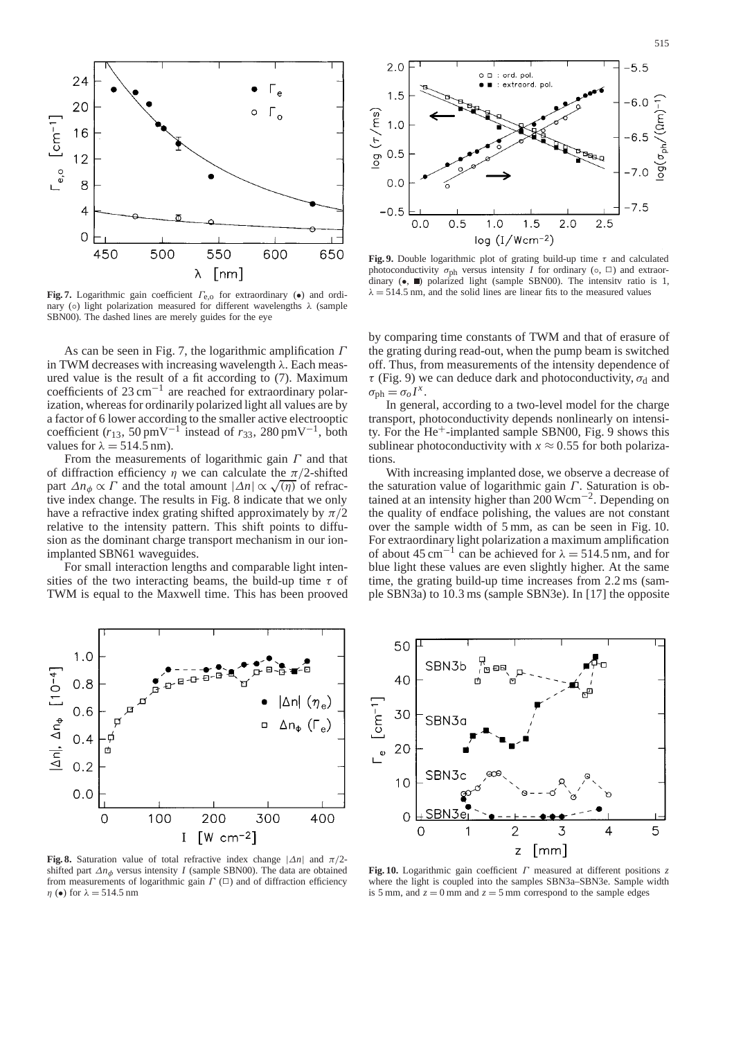



**Fig. 7.** Logarithmic gain coefficient Γe,o for extraordinary (•) and ordinary (⊙) light polarization measured for different wavelengths  $\lambda$  (sample SBN00). The dashed lines are merely guides for the eye

As can be seen in Fig. 7, the logarithmic amplification Γ in TWM decreases with increasing wavelength  $\lambda$ . Each measured value is the result of a fit according to (7). Maximum coefficients of  $23 \text{ cm}^{-1}$  are reached for extraordinary polarization, whereas for ordinarily polarized light all values are by a factor of 6 lower according to the smaller active electrooptic coefficient ( $r_{13}$ , 50 pmV<sup>-1</sup> instead of  $r_{33}$ , 280 pmV<sup>-1</sup>, both values for  $\lambda = 514.5$  nm).

From the measurements of logarithmic gain  $\Gamma$  and that of diffraction efficiency  $\eta$  we can calculate the  $\pi/2$ -shifted part  $\Delta n_{\phi} \propto \Gamma$  and the total amount  $|\Delta n| \propto \sqrt{\eta}$  of refractive index change. The results in Fig. 8 indicate that we only have a refractive index grating shifted approximately by  $\pi/2$ relative to the intensity pattern. This shift points to diffusion as the dominant charge transport mechanism in our ionimplanted SBN61 waveguides.

For small interaction lengths and comparable light intensities of the two interacting beams, the build-up time  $\tau$  of TWM is equal to the Maxwell time. This has been prooved



**Fig. 9.** Double logarithmic plot of grating build-up time  $\tau$  and calculated photoconductivity  $\sigma_{ph}$  versus intensity *I* for ordinary ( $\circ$ ,  $\Box$ ) and extraordinary  $(\bullet, \blacksquare)$  polarized light (sample SBN00). The intensity ratio is 1,  $\lambda = 514.5$  nm, and the solid lines are linear fits to the measured values

by comparing time constants of TWM and that of erasure of the grating during read-out, when the pump beam is switched off. Thus, from measurements of the intensity dependence of  $\tau$  (Fig. 9) we can deduce dark and photoconductivity,  $\sigma_d$  and  $\sigma_{\rm ph} = \sigma_o I^x$ .

In general, according to a two-level model for the charge transport, photoconductivity depends nonlinearly on intensity. For the  $He<sup>+</sup>$ -implanted sample SBN00, Fig. 9 shows this sublinear photoconductivity with  $x \approx 0.55$  for both polarizations.

With increasing implanted dose, we observe a decrease of the saturation value of logarithmic gain  $\Gamma$ . Saturation is obtained at an intensity higher than 200 Wcm−2. Depending on the quality of endface polishing, the values are not constant over the sample width of 5 mm, as can be seen in Fig. 10. For extraordinary light polarization a maximum amplification of about 45 cm<sup>-1</sup> can be achieved for  $\lambda = 514.5$  nm, and for blue light these values are even slightly higher. At the same time, the grating build-up time increases from 2.2 ms (sample SBN3a) to 10.3 ms (sample SBN3e). In [17] the opposite



**Fig. 8.** Saturation value of total refractive index change  $|\Delta n|$  and  $\pi/2$ shifted part  $\Delta n_{\phi}$  versus intensity *I* (sample SBN00). The data are obtained from measurements of logarithmic gain  $\Gamma$  ( $\square$ ) and of diffraction efficiency  $\eta$  ( $\bullet$ ) for  $\lambda = 514.5$  nm



**Fig. 10.** Logarithmic gain coefficient Γ measured at different positions *z* where the light is coupled into the samples SBN3a–SBN3e. Sample width is 5 mm, and  $z = 0$  mm and  $z = 5$  mm correspond to the sample edges